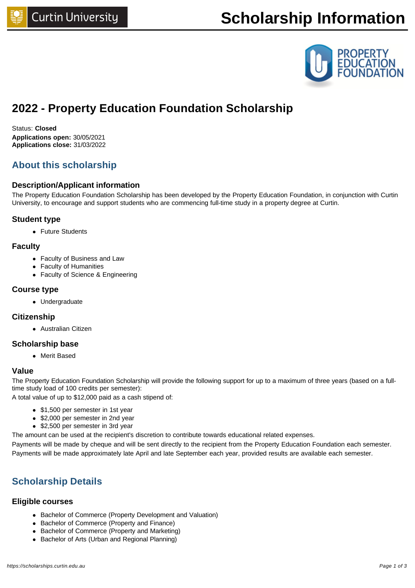# **Scholarship Information**



## **2022 - Property Education Foundation Scholarship**

Status: **Closed Applications open:** 30/05/2021 **Applications close:** 31/03/2022

## **About this scholarship**

#### **Description/Applicant information**

The Property Education Foundation Scholarship has been developed by the Property Education Foundation, in conjunction with Curtin University, to encourage and support students who are commencing full-time study in a property degree at Curtin.

#### **Student type**

• Future Students

#### **Faculty**

- Faculty of Business and Law
- Faculty of Humanities
- Faculty of Science & Engineering

#### **Course type**

• Undergraduate

#### **Citizenship**

• Australian Citizen

#### **Scholarship base**

• Merit Based

#### **Value**

The Property Education Foundation Scholarship will provide the following support for up to a maximum of three years (based on a fulltime study load of 100 credits per semester):

A total value of up to \$12,000 paid as a cash stipend of:

- \$1,500 per semester in 1st year
- \$2,000 per semester in 2nd year
- \$2,500 per semester in 3rd year

The amount can be used at the recipient's discretion to contribute towards educational related expenses.

Payments will be made by cheque and will be sent directly to the recipient from the Property Education Foundation each semester. Payments will be made approximately late April and late September each year, provided results are available each semester.

## **Scholarship Details**

#### **Eligible courses**

- Bachelor of Commerce (Property Development and Valuation)
- Bachelor of Commerce (Property and Finance)
- Bachelor of Commerce (Property and Marketing)
- Bachelor of Arts (Urban and Regional Planning)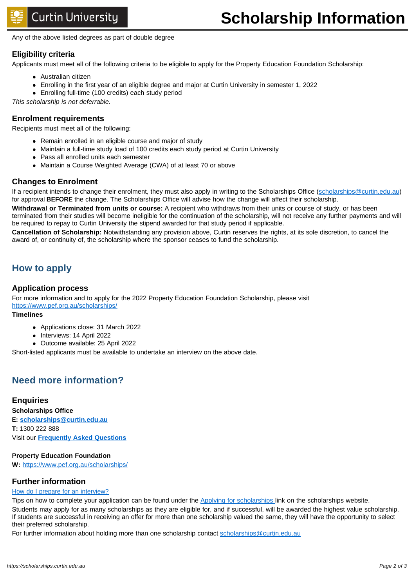Any of the above listed degrees as part of double degree

#### **Eligibility criteria**

Applicants must meet all of the following criteria to be eligible to apply for the Property Education Foundation Scholarship:

- Australian citizen
- <sup>l</sup> Enrolling in the first year of an eligible degree and major at Curtin University in semester 1, 2022
- Enrolling full-time (100 credits) each study period

This scholarship is not deferrable.

#### **Enrolment requirements**

Recipients must meet all of the following:

- Remain enrolled in an eligible course and major of study
- Maintain a full-time study load of 100 credits each study period at Curtin University
- Pass all enrolled units each semester
- Maintain a Course Weighted Average (CWA) of at least 70 or above

#### **Changes to Enrolment**

If a recipient intends to change their enrolment, they must also apply in writing to the Scholarships Office [\(scholarships@curtin.edu.au\)](mailto:scholarships@curtin.edu.au) for approval **BEFORE** the change. The Scholarships Office will advise how the change will affect their scholarship.

**Withdrawal or Terminated from units or course:** A recipient who withdraws from their units or course of study, or has been terminated from their studies will become ineligible for the continuation of the scholarship, will not receive any further payments and will be required to repay to Curtin University the stipend awarded for that study period if applicable.

**Cancellation of Scholarship:** Notwithstanding any provision above, Curtin reserves the rights, at its sole discretion, to cancel the award of, or continuity of, the scholarship where the sponsor ceases to fund the scholarship.

### **How to apply**

#### **Application process**

For more information and to apply for the 2022 Property Education Foundation Scholarship, please visit <https://www.pef.org.au/scholarships/>

#### **Timelines**

- Applications close: 31 March 2022
- Interviews: 14 April 2022
- Outcome available: 25 April 2022

Short-listed applicants must be available to undertake an interview on the above date.

## **Need more information?**

#### **Enquiries**

**Scholarships Office E: [scholarships@curtin.edu.au](mailto:scholarships@curtin.edu.au) T:** 1300 222 888 Visit our **[Frequently Asked Questions](https://future.connect.curtin.edu.au/app/answers/list/kw/scholarship)**

#### **Property Education Foundation**

**W:** <https://www.pef.org.au/scholarships/>

#### **Further information**

#### [How do I prepare for an interview?](http://life.curtin.edu.au/careers/interviews.htm)

Tips on how to complete your application can be found under the [Applying for scholarships l](https://scholarships.curtin.edu.au/apply/)ink on the scholarships website. Students may apply for as many scholarships as they are eligible for, and if successful, will be awarded the highest value scholarship. If students are successful in receiving an offer for more than one scholarship valued the same, they will have the opportunity to select their preferred scholarship.

For further information about holding more than one scholarship contact [scholarships@curtin.edu.au](mailto:scholarships@curtin.edu.au)